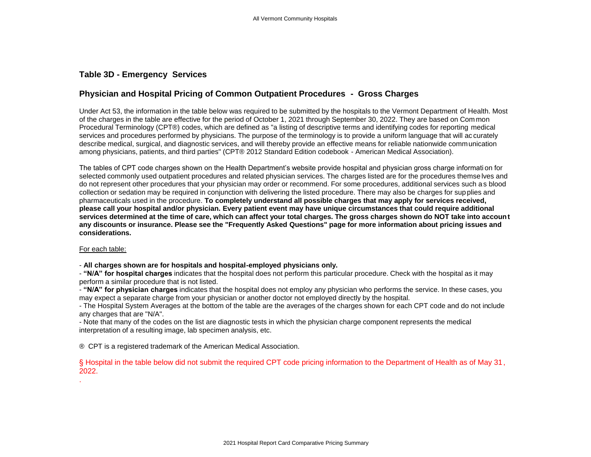## **Table 3D - Emergency Services**

## **Physician and Hospital Pricing of Common Outpatient Procedures - Gross Charges**

Under Act 53, the information in the table below was required to be submitted by the hospitals to the Vermont Department of Health. Most of the charges in the table are effective for the period of October 1, 2021 through September 30, 2022. They are based on Com mon Procedural Terminology (CPT®) codes, which are defined as "a listing of descriptive terms and identifying codes for reporting medical services and procedures performed by physicians. The purpose of the terminology is to provide a uniform language that will ac curately describe medical, surgical, and diagnostic services, and will thereby provide an effective means for reliable nationwide communication among physicians, patients, and third parties" (CPT® 2012 Standard Edition codebook - American Medical Association).

The tables of CPT code charges shown on the Health Department's website provide hospital and physician gross charge informati on for selected commonly used outpatient procedures and related physician services. The charges listed are for the procedures themse lves and do not represent other procedures that your physician may order or recommend. For some procedures, additional services such a s blood collection or sedation may be required in conjunction with delivering the listed procedure. There may also be charges for sup plies and pharmaceuticals used in the procedure. **To completely understand all possible charges that may apply for services received, please call your hospital and/or physician. Every patient event may have unique circumstances that could require additional services determined at the time of care, which can affect your total charges. The gross charges shown do NOT take into account any discounts or insurance. Please see the "Frequently Asked Questions" page for more information about pricing issues and considerations.**

## For each table:

- **All charges shown are for hospitals and hospital-employed physicians only.**

- **"N/A" for hospital charges** indicates that the hospital does not perform this particular procedure. Check with the hospital as it may perform a similar procedure that is not listed.

- **"N/A" for physician charges** indicates that the hospital does not employ any physician who performs the service. In these cases, you may expect a separate charge from your physician or another doctor not employed directly by the hospital.

- The Hospital System Averages at the bottom of the table are the averages of the charges shown for each CPT code and do not include any charges that are "N/A".

- Note that many of the codes on the list are diagnostic tests in which the physician charge component represents the medical interpretation of a resulting image, lab specimen analysis, etc.

® CPT is a registered trademark of the American Medical Association.

§ Hospital in the table below did not submit the required CPT code pricing information to the Department of Health as of May 31, 2022.

.